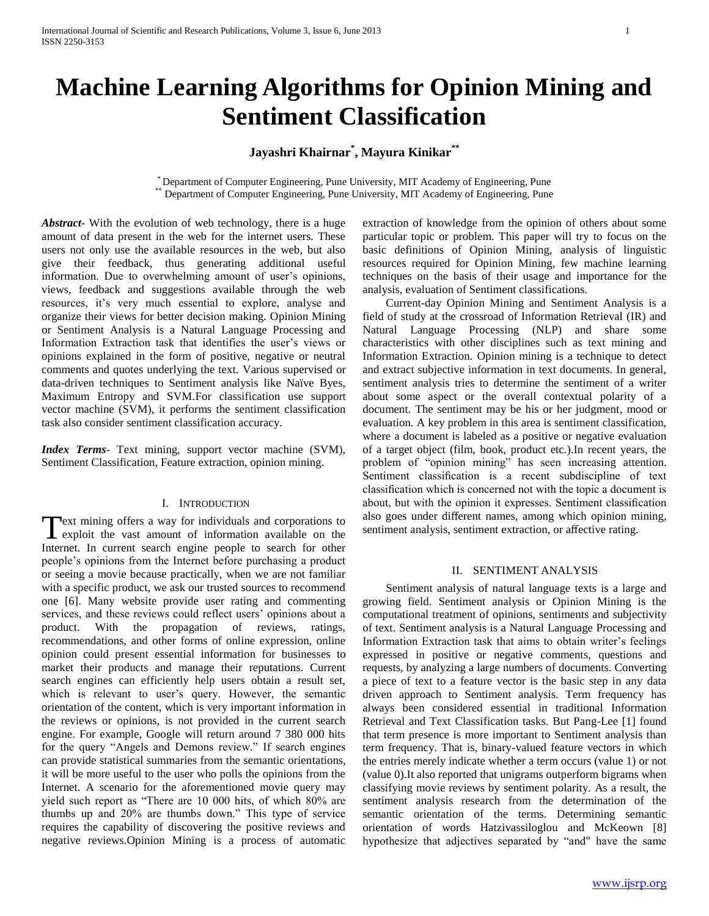# **Machine Learning Algorithms for Opinion Mining and Sentiment Classification**

## **Jayashri Khairnar\* , Mayura Kinikar\*\***

\* Department of Computer Engineering, Pune University, MIT Academy of Engineering, Pune Department of Computer Engineering, Pune University, MIT Academy of Engineering, Pune

*Abstract***-** With the evolution of web technology, there is a huge amount of data present in the web for the internet users. These users not only use the available resources in the web, but also give their feedback, thus generating additional useful information. Due to overwhelming amount of user's opinions, views, feedback and suggestions available through the web resources, it's very much essential to explore, analyse and organize their views for better decision making. Opinion Mining or Sentiment Analysis is a Natural Language Processing and Information Extraction task that identifies the user's views or opinions explained in the form of positive, negative or neutral comments and quotes underlying the text. Various supervised or data-driven techniques to Sentiment analysis like Naïve Byes, Maximum Entropy and SVM.For classification use support vector machine (SVM), it performs the sentiment classification task also consider sentiment classification accuracy.

*Index Terms*- Text mining, support vector machine (SVM), Sentiment Classification, Feature extraction, opinion mining.

## I. INTRODUCTION

ext mining offers a way for individuals and corporations to Text mining offers a way for individuals and corporations to exploit the vast amount of information available on the Internet. In current search engine people to search for other people's opinions from the Internet before purchasing a product or seeing a movie because practically, when we are not familiar with a specific product, we ask our trusted sources to recommend one [6]. Many website provide user rating and commenting services, and these reviews could reflect users' opinions about a product. With the propagation of reviews, ratings, recommendations, and other forms of online expression, online opinion could present essential information for businesses to market their products and manage their reputations. Current search engines can efficiently help users obtain a result set, which is relevant to user's query. However, the semantic orientation of the content, which is very important information in the reviews or opinions, is not provided in the current search engine. For example, Google will return around 7 380 000 hits for the query "Angels and Demons review." If search engines can provide statistical summaries from the semantic orientations, it will be more useful to the user who polls the opinions from the Internet. A scenario for the aforementioned movie query may yield such report as "There are 10 000 hits, of which 80% are thumbs up and 20% are thumbs down." This type of service requires the capability of discovering the positive reviews and negative reviews.Opinion Mining is a process of automatic

extraction of knowledge from the opinion of others about some particular topic or problem. This paper will try to focus on the basic definitions of Opinion Mining, analysis of linguistic resources required for Opinion Mining, few machine learning techniques on the basis of their usage and importance for the analysis, evaluation of Sentiment classifications.

 Current-day Opinion Mining and Sentiment Analysis is a field of study at the crossroad of Information Retrieval (IR) and Natural Language Processing (NLP) and share some characteristics with other disciplines such as text mining and Information Extraction. Opinion mining is a technique to detect and extract subjective information in text documents. In general, sentiment analysis tries to determine the sentiment of a writer about some aspect or the overall contextual polarity of a document. The sentiment may be his or her judgment, mood or evaluation. A key problem in this area is sentiment classification, where a document is labeled as a positive or negative evaluation of a target object (film, book, product etc.).In recent years, the problem of "opinion mining" has seen increasing attention. Sentiment classification is a recent subdiscipline of text classification which is concerned not with the topic a document is about, but with the opinion it expresses. Sentiment classification also goes under different names, among which opinion mining, sentiment analysis, sentiment extraction, or affective rating.

#### II. SENTIMENT ANALYSIS

 Sentiment analysis of natural language texts is a large and growing field. Sentiment analysis or Opinion Mining is the computational treatment of opinions, sentiments and subjectivity of text. Sentiment analysis is a Natural Language Processing and Information Extraction task that aims to obtain writer's feelings expressed in positive or negative comments, questions and requests, by analyzing a large numbers of documents. Converting a piece of text to a feature vector is the basic step in any data driven approach to Sentiment analysis. Term frequency has always been considered essential in traditional Information Retrieval and Text Classification tasks. But Pang-Lee [1] found that term presence is more important to Sentiment analysis than term frequency. That is, binary-valued feature vectors in which the entries merely indicate whether a term occurs (value 1) or not (value 0).It also reported that unigrams outperform bigrams when classifying movie reviews by sentiment polarity. As a result, the sentiment analysis research from the determination of the semantic orientation of the terms. Determining semantic orientation of words Hatzivassiloglou and McKeown [8] hypothesize that adjectives separated by "and" have the same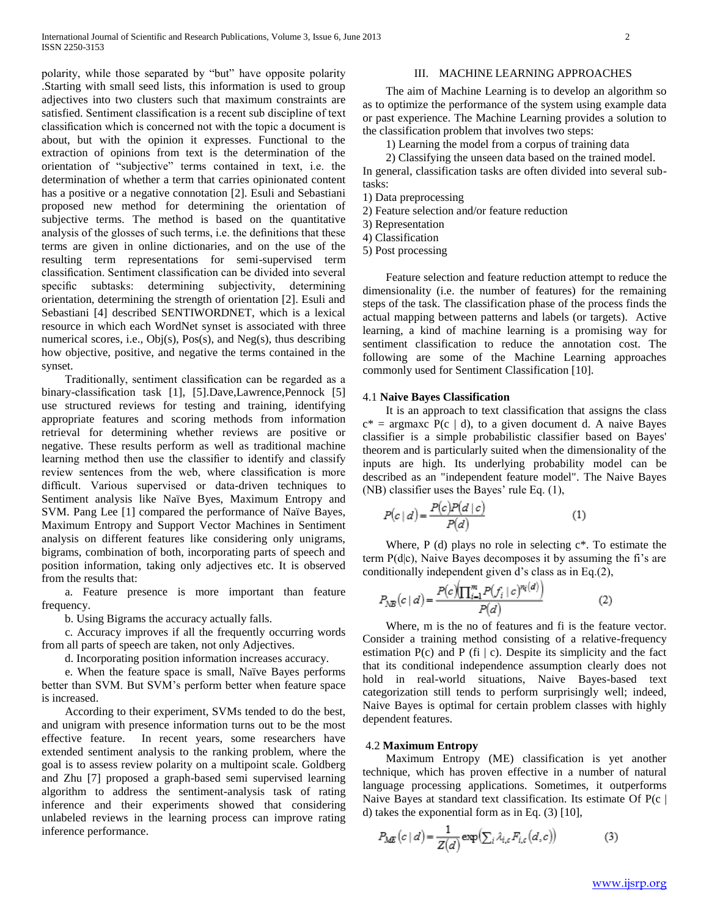polarity, while those separated by "but" have opposite polarity .Starting with small seed lists, this information is used to group adjectives into two clusters such that maximum constraints are satisfied. Sentiment classification is a recent sub discipline of text classification which is concerned not with the topic a document is about, but with the opinion it expresses. Functional to the extraction of opinions from text is the determination of the orientation of "subjective" terms contained in text, i.e. the determination of whether a term that carries opinionated content has a positive or a negative connotation [2]. Esuli and Sebastiani proposed new method for determining the orientation of subjective terms. The method is based on the quantitative analysis of the glosses of such terms, i.e. the definitions that these terms are given in online dictionaries, and on the use of the resulting term representations for semi-supervised term classification. Sentiment classification can be divided into several specific subtasks: determining subjectivity, determining orientation, determining the strength of orientation [2]. Esuli and Sebastiani [4] described SENTIWORDNET, which is a lexical resource in which each WordNet synset is associated with three numerical scores, i.e., Obj(s), Pos(s), and Neg(s), thus describing how objective, positive, and negative the terms contained in the synset.

 Traditionally, sentiment classification can be regarded as a binary-classification task [1], [5].Dave,Lawrence,Pennock [5] use structured reviews for testing and training, identifying appropriate features and scoring methods from information retrieval for determining whether reviews are positive or negative. These results perform as well as traditional machine learning method then use the classifier to identify and classify review sentences from the web, where classification is more difficult. Various supervised or data-driven techniques to Sentiment analysis like Naïve Byes, Maximum Entropy and SVM. Pang Lee [1] compared the performance of Naïve Bayes, Maximum Entropy and Support Vector Machines in Sentiment analysis on different features like considering only unigrams, bigrams, combination of both, incorporating parts of speech and position information, taking only adjectives etc. It is observed from the results that:

 a. Feature presence is more important than feature frequency.

b. Using Bigrams the accuracy actually falls.

 c. Accuracy improves if all the frequently occurring words from all parts of speech are taken, not only Adjectives.

d. Incorporating position information increases accuracy.

 e. When the feature space is small, Naïve Bayes performs better than SVM. But SVM's perform better when feature space is increased.

 According to their experiment, SVMs tended to do the best, and unigram with presence information turns out to be the most effective feature. In recent years, some researchers have extended sentiment analysis to the ranking problem, where the goal is to assess review polarity on a multipoint scale. Goldberg and Zhu [7] proposed a graph-based semi supervised learning algorithm to address the sentiment-analysis task of rating inference and their experiments showed that considering unlabeled reviews in the learning process can improve rating inference performance.

## III. MACHINE LEARNING APPROACHES

 The aim of Machine Learning is to develop an algorithm so as to optimize the performance of the system using example data or past experience. The Machine Learning provides a solution to the classification problem that involves two steps:

1) Learning the model from a corpus of training data

 2) Classifying the unseen data based on the trained model. In general, classification tasks are often divided into several subtasks:

- 1) Data preprocessing
- 2) Feature selection and/or feature reduction
- 3) Representation
- 4) Classification
- 5) Post processing

 Feature selection and feature reduction attempt to reduce the dimensionality (i.e. the number of features) for the remaining steps of the task. The classification phase of the process finds the actual mapping between patterns and labels (or targets). Active learning, a kind of machine learning is a promising way for sentiment classification to reduce the annotation cost. The following are some of the Machine Learning approaches commonly used for Sentiment Classification [10].

## 4.1 **Naive Bayes Classification**

 It is an approach to text classification that assigns the class  $c^*$  = argmaxc P(c | d), to a given document d. A naive Bayes classifier is a simple probabilistic classifier based on Bayes' theorem and is particularly suited when the dimensionality of the inputs are high. Its underlying probability model can be described as an "independent feature model". The Naive Bayes (NB) classifier uses the Bayes' rule Eq. (1),

$$
P(c | d) = \frac{P(c)P(d | c)}{P(d)}\tag{1}
$$

Where,  $P$  (d) plays no role in selecting  $c^*$ . To estimate the term P(d|c), Naive Bayes decomposes it by assuming the fi's are conditionally independent given d's class as in Eq.(2),

$$
P_{\text{AB}}(c \mid d) = \frac{P(c) \prod_{i=1}^{m} P(f_i \mid c)^{r_i(d)}}{P(d)} \tag{2}
$$

 Where, m is the no of features and fi is the feature vector. Consider a training method consisting of a relative-frequency estimation  $P(c)$  and  $P(f_i | c)$ . Despite its simplicity and the fact that its conditional independence assumption clearly does not hold in real-world situations, Naive Bayes-based text categorization still tends to perform surprisingly well; indeed, Naive Bayes is optimal for certain problem classes with highly dependent features.

## 4.2 **Maximum Entropy**

 Maximum Entropy (ME) classification is yet another technique, which has proven effective in a number of natural language processing applications. Sometimes, it outperforms Naive Bayes at standard text classification. Its estimate Of P(c | d) takes the exponential form as in Eq. (3) [10],

$$
P_{ME}(c | d) = \frac{1}{Z(d)} \exp(\sum_{i} \lambda_{i,c} F_{i,c}(d, c))
$$
 (3)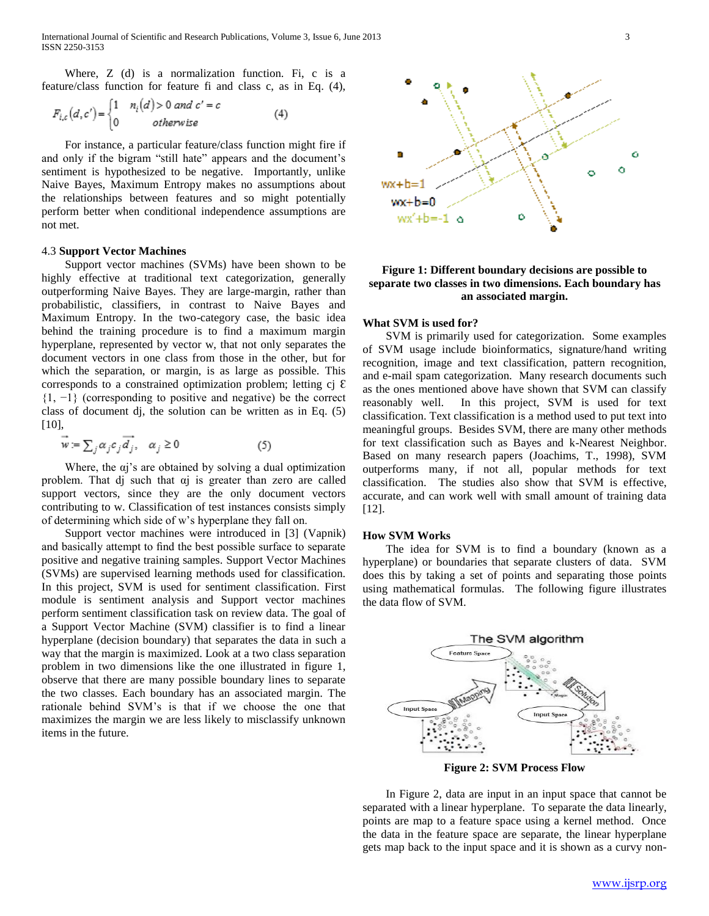International Journal of Scientific and Research Publications, Volume 3, Issue 6, June 2013 3 ISSN 2250-3153

 Where, Z (d) is a normalization function. Fi, c is a feature/class function for feature fi and class c, as in Eq. (4),

$$
F_{i,c}(d,c') = \begin{cases} 1 & n_i(d) > 0 \text{ and } c' = c \\ 0 & \text{otherwise} \end{cases}
$$
 (4)

 $\epsilon \rightarrow \infty$ 

 For instance, a particular feature/class function might fire if and only if the bigram "still hate" appears and the document's sentiment is hypothesized to be negative. Importantly, unlike Naive Bayes, Maximum Entropy makes no assumptions about the relationships between features and so might potentially perform better when conditional independence assumptions are not met.

## 4.3 **Support Vector Machines**

 Support vector machines (SVMs) have been shown to be highly effective at traditional text categorization, generally outperforming Naive Bayes. They are large-margin, rather than probabilistic, classifiers, in contrast to Naive Bayes and Maximum Entropy. In the two-category case, the basic idea behind the training procedure is to find a maximum margin hyperplane, represented by vector w, that not only separates the document vectors in one class from those in the other, but for which the separation, or margin, is as large as possible. This corresponds to a constrained optimization problem; letting  $ci \&$ {1, −1} (corresponding to positive and negative) be the correct class of document dj, the solution can be written as in Eq. (5) [10],

$$
\vec{w} := \sum_{j} \alpha_j c_j \vec{d}_j, \quad \alpha_j \ge 0
$$
 (5)

 Where, the αj's are obtained by solving a dual optimization problem. That dj such that αj is greater than zero are called support vectors, since they are the only document vectors contributing to w. Classification of test instances consists simply of determining which side of w's hyperplane they fall on.

 Support vector machines were introduced in [3] (Vapnik) and basically attempt to find the best possible surface to separate positive and negative training samples. Support Vector Machines (SVMs) are supervised learning methods used for classification. In this project, SVM is used for sentiment classification. First module is sentiment analysis and Support vector machines perform sentiment classification task on review data. The goal of a Support Vector Machine (SVM) classifier is to find a linear hyperplane (decision boundary) that separates the data in such a way that the margin is maximized. Look at a two class separation problem in two dimensions like the one illustrated in figure 1, observe that there are many possible boundary lines to separate the two classes. Each boundary has an associated margin. The rationale behind SVM's is that if we choose the one that maximizes the margin we are less likely to misclassify unknown items in the future.



## **Figure 1: Different boundary decisions are possible to separate two classes in two dimensions. Each boundary has an associated margin.**

#### **What SVM is used for?**

wx′+b=-1 a

 SVM is primarily used for categorization. Some examples of SVM usage include bioinformatics, signature/hand writing recognition, image and text classification, pattern recognition, and e-mail spam categorization. Many research documents such as the ones mentioned above have shown that SVM can classify reasonably well. In this project, SVM is used for text classification. Text classification is a method used to put text into meaningful groups. Besides SVM, there are many other methods for text classification such as Bayes and k-Nearest Neighbor. Based on many research papers (Joachims, T., 1998), SVM outperforms many, if not all, popular methods for text classification. The studies also show that SVM is effective, accurate, and can work well with small amount of training data [12].

## **How SVM Works**

 The idea for SVM is to find a boundary (known as a hyperplane) or boundaries that separate clusters of data. SVM does this by taking a set of points and separating those points using mathematical formulas. The following figure illustrates the data flow of SVM.



**Figure 2: SVM Process Flow**

 In Figure 2, data are input in an input space that cannot be separated with a linear hyperplane. To separate the data linearly, points are map to a feature space using a kernel method. Once the data in the feature space are separate, the linear hyperplane gets map back to the input space and it is shown as a curvy non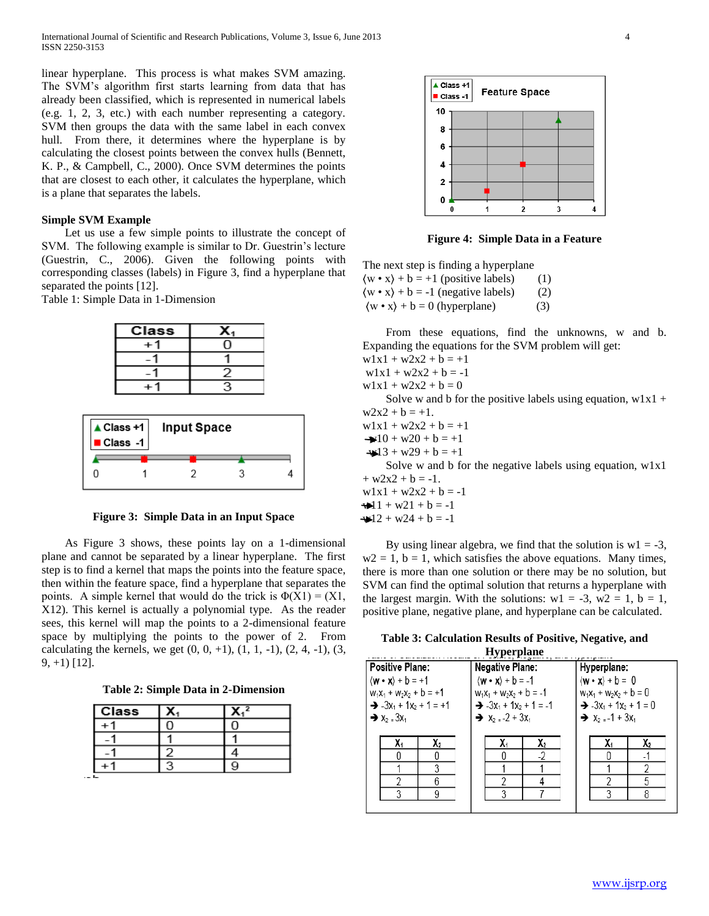linear hyperplane. This process is what makes SVM amazing. The SVM's algorithm first starts learning from data that has already been classified, which is represented in numerical labels (e.g. 1, 2, 3, etc.) with each number representing a category. SVM then groups the data with the same label in each convex hull. From there, it determines where the hyperplane is by calculating the closest points between the convex hulls (Bennett, K. P., & Campbell, C., 2000). Once SVM determines the points that are closest to each other, it calculates the hyperplane, which is a plane that separates the labels.

## **Simple SVM Example**

 Let us use a few simple points to illustrate the concept of SVM. The following example is similar to Dr. Guestrin's lecture (Guestrin, C., 2006). Given the following points with corresponding classes (labels) in Figure 3, find a hyperplane that separated the points [12].

Table 1: Simple Data in 1-Dimension

| Class |  |
|-------|--|
| +     |  |
|       |  |
|       |  |
| ┻     |  |

| $\begin{array}{c} \n \text{1} \text{Class} + 1 \\ \hline\n \text{1} \text{Class} - 1\n \end{array}$ | <b>Input Space</b> |  |
|-----------------------------------------------------------------------------------------------------|--------------------|--|
|                                                                                                     |                    |  |

**Figure 3: Simple Data in an Input Space**

 As Figure 3 shows, these points lay on a 1-dimensional plane and cannot be separated by a linear hyperplane. The first step is to find a kernel that maps the points into the feature space, then within the feature space, find a hyperplane that separates the points. A simple kernel that would do the trick is  $\Phi(X1) = (X1,$ X12). This kernel is actually a polynomial type. As the reader sees, this kernel will map the points to a 2-dimensional feature space by multiplying the points to the power of 2. From calculating the kernels, we get  $(0, 0, +1)$ ,  $(1, 1, -1)$ ,  $(2, 4, -1)$ ,  $(3,$ 9, +1) [12].

**Table 2: Simple Data in 2-Dimension**

| Class |  |
|-------|--|
|       |  |
|       |  |
|       |  |
|       |  |



**Figure 4: Simple Data in a Feature**

The next step is finding a hyperplane

 $\langle w \cdot x \rangle + b = +1$  (positive labels) (1)  $\langle w \cdot x \rangle + b = -1$  (negative labels) (2)  $\langle w \cdot x \rangle + b = 0$  (hyperplane) (3)

 From these equations, find the unknowns, w and b. Expanding the equations for the SVM problem will get:

 $w1x1 + w2x2 + b = +1$  $w1x1 + w2x2 + b = -1$ 

 $w1x1 + w2x2 + b = 0$ 

Solve w and b for the positive labels using equation,  $w1x1 +$  $w2x2 + b = +1.$ 

- $w1x1 + w2x2 + b = +1$
- $\div 10 + w20 + b = +1$
- $-13 + w29 + b = +1$

Solve w and b for the negative labels using equation,  $w1x1$  $+ w2x2 + b = -1.$ 

 $w1x1 + w2x2 + b = -1$ 

- $\bigstar 1 + w^21 + b = -1$
- $\div 12 + w24 + b = -1$

By using linear algebra, we find that the solution is  $w1 = -3$ ,  $w2 = 1$ ,  $b = 1$ , which satisfies the above equations. Many times, there is more than one solution or there may be no solution, but SVM can find the optimal solution that returns a hyperplane with the largest margin. With the solutions:  $w1 = -3$ ,  $w2 = 1$ ,  $b = 1$ , positive plane, negative plane, and hyperplane can be calculated.

**Table 3: Calculation Results of Positive, Negative, and Hyperplane**

| <u>ny perpiane</u> |                                                                 |    |                        |                                                                 |                |             |                                                                |    |    |  |
|--------------------|-----------------------------------------------------------------|----|------------------------|-----------------------------------------------------------------|----------------|-------------|----------------------------------------------------------------|----|----|--|
| Positive Plane:    |                                                                 |    | <b>Negative Plane:</b> |                                                                 |                | Hyperplane: |                                                                |    |    |  |
|                    | $\langle \mathbf{w} \cdot \mathbf{x} \rangle + \mathbf{b} = +1$ |    |                        | $\langle \mathbf{w} \cdot \mathbf{x} \rangle + \mathbf{b} = -1$ |                |             | $\langle \mathbf{w} \cdot \mathbf{x} \rangle + \mathbf{b} = 0$ |    |    |  |
|                    | $W_1X_1 + W_2X_2 + b = +1$                                      |    |                        | $W_1X_1 + W_2X_2 + b = -1$                                      |                |             | $W_1X_1 + W_2X_2 + b = 0$                                      |    |    |  |
|                    | $\rightarrow -3x_1 + 1x_2 + 1 = +1$                             |    |                        | $\rightarrow -3x_1 + 1x_2 + 1 = -1$                             |                |             | $\rightarrow -3x_1 + 1x_2 + 1 = 0$                             |    |    |  |
|                    | $\rightarrow x_2 = 3x_1$                                        |    |                        | $\rightarrow$ X <sub>2</sub> = -2 + 3x <sub>1</sub>             |                |             | $\rightarrow x_2 = 1 + 3x_1$                                   |    |    |  |
|                    |                                                                 |    |                        |                                                                 |                |             |                                                                |    |    |  |
|                    | X1                                                              | Х2 |                        | X1                                                              | $\mathsf{X}_2$ |             |                                                                | X1 | Х2 |  |
|                    |                                                                 |    |                        |                                                                 | -2             |             |                                                                |    |    |  |
|                    |                                                                 | 3  |                        |                                                                 |                |             |                                                                |    |    |  |
|                    |                                                                 | 6  |                        |                                                                 |                |             |                                                                |    | 5  |  |
|                    | ٩                                                               | 9  |                        |                                                                 |                |             |                                                                |    | 8  |  |
|                    |                                                                 |    |                        |                                                                 |                |             |                                                                |    |    |  |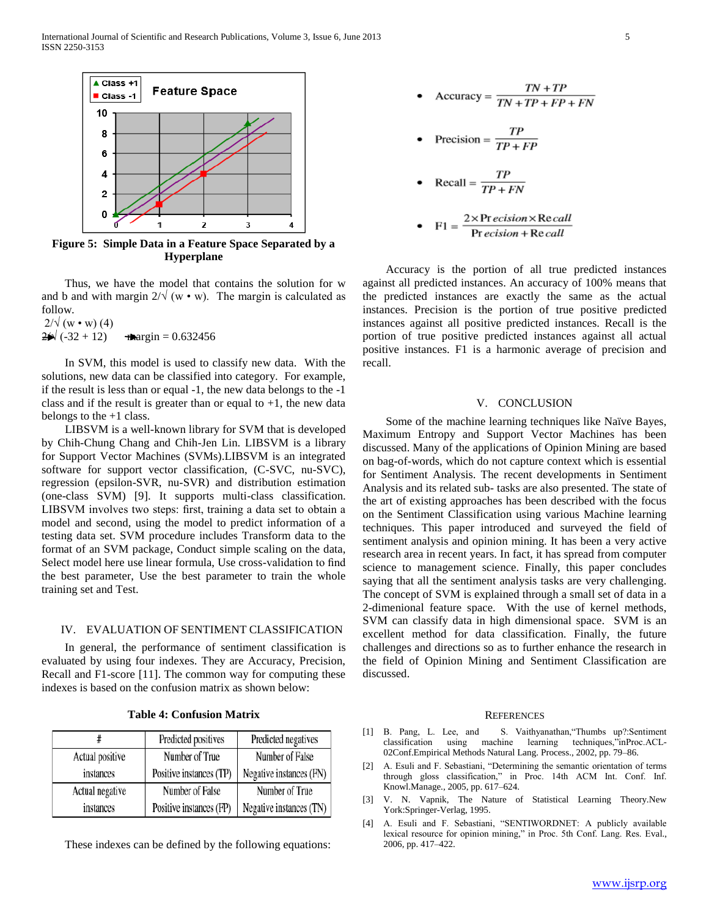International Journal of Scientific and Research Publications, Volume 3, Issue 6, June 2013 5 ISSN 2250-3153



**Figure 5: Simple Data in a Feature Space Separated by a Hyperplane**

 Thus, we have the model that contains the solution for w and b and with margin  $2/\sqrt{(w \cdot w)}$ . The margin is calculated as follow.  $2/\sqrt{(w \cdot w)(4)}$ 

 $2\blacktriangleright$  (-32 + 12)  $\blacktriangleright$   $\blacktriangleleft$   $\text{Argin} = 0.632456$ 

 In SVM, this model is used to classify new data. With the solutions, new data can be classified into category. For example, if the result is less than or equal -1, the new data belongs to the -1 class and if the result is greater than or equal to  $+1$ , the new data belongs to the  $+1$  class.

 LIBSVM is a well-known library for SVM that is developed by Chih-Chung Chang and Chih-Jen Lin. LIBSVM is a library for Support Vector Machines (SVMs).LIBSVM is an integrated software for support vector classification, (C-SVC, nu-SVC), regression (epsilon-SVR, nu-SVR) and distribution estimation (one-class SVM) [9]. It supports multi-class classification. LIBSVM involves two steps: first, training a data set to obtain a model and second, using the model to predict information of a testing data set. SVM procedure includes Transform data to the format of an SVM package, Conduct simple scaling on the data, Select model here use linear formula, Use cross-validation to find the best parameter, Use the best parameter to train the whole training set and Test.

## IV. EVALUATION OF SENTIMENT CLASSIFICATION

 In general, the performance of sentiment classification is evaluated by using four indexes. They are Accuracy, Precision, Recall and F1-score [11]. The common way for computing these indexes is based on the confusion matrix as shown below:

| #               | Predicted positives     | Predicted negatives     |
|-----------------|-------------------------|-------------------------|
| Actual positive | Number of True          | Number of False         |
| instances       | Positive instances (TP) | Negative instances (FN) |
| Actual negative | Number of False         | Number of True          |
| instances       | Positive instances (FP) | Negative instances (TN) |

**Table 4: Confusion Matrix**

These indexes can be defined by the following equations:

 $TN + TP$  $Accuracy =$  $\overline{TN + TP + FP + FN}$ 

$$
\text{Precision} = \frac{TP}{TP + FP}
$$

• Recall = 
$$
\frac{TP}{TP + FN}
$$

• 
$$
F1 = \frac{2 \times \text{Pr} \, e \, \text{cision} \times \text{Re} \, \text{call}}{\text{Pr} \, \text{ecision} + \text{Re} \, \text{call}}
$$

 Accuracy is the portion of all true predicted instances against all predicted instances. An accuracy of 100% means that the predicted instances are exactly the same as the actual instances. Precision is the portion of true positive predicted instances against all positive predicted instances. Recall is the portion of true positive predicted instances against all actual positive instances. F1 is a harmonic average of precision and recall.

#### V. CONCLUSION

 Some of the machine learning techniques like Naïve Bayes, Maximum Entropy and Support Vector Machines has been discussed. Many of the applications of Opinion Mining are based on bag-of-words, which do not capture context which is essential for Sentiment Analysis. The recent developments in Sentiment Analysis and its related sub- tasks are also presented. The state of the art of existing approaches has been described with the focus on the Sentiment Classification using various Machine learning techniques. This paper introduced and surveyed the field of sentiment analysis and opinion mining. It has been a very active research area in recent years. In fact, it has spread from computer science to management science. Finally, this paper concludes saying that all the sentiment analysis tasks are very challenging. The concept of SVM is explained through a small set of data in a 2-dimenional feature space. With the use of kernel methods, SVM can classify data in high dimensional space. SVM is an excellent method for data classification. Finally, the future challenges and directions so as to further enhance the research in the field of Opinion Mining and Sentiment Classification are discussed.

#### **REFERENCES**

- [1] B. Pang, L. Lee, and S. Vaithyanathan,"Thumbs up?:Sentiment classification using machine learning techniques,"inProc.ACL-02Conf.Empirical Methods Natural Lang. Process., 2002, pp. 79–86.
- [2] A. Esuli and F. Sebastiani, "Determining the semantic orientation of terms through gloss classification," in Proc. 14th ACM Int. Conf. Inf. Knowl.Manage., 2005, pp. 617–624.
- [3] V. N. Vapnik, The Nature of Statistical Learning Theory.New York:Springer-Verlag, 1995.
- [4] A. Esuli and F. Sebastiani, "SENTIWORDNET: A publicly available lexical resource for opinion mining," in Proc. 5th Conf. Lang. Res. Eval., 2006, pp. 417–422.